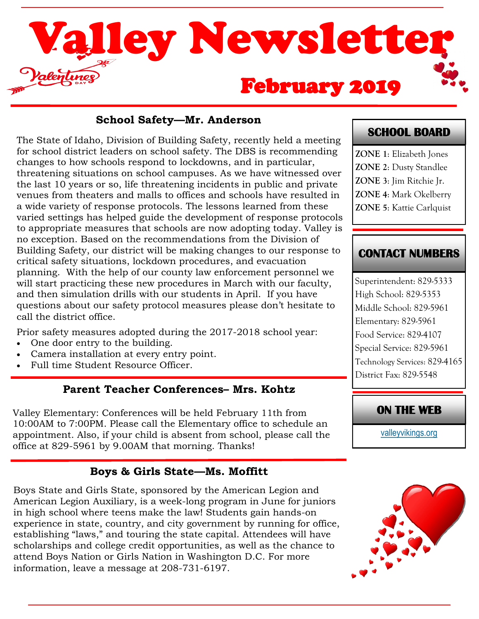

### **School Safety—Mr. Anderson**

The State of Idaho, Division of Building Safety, recently held a meeting for school district leaders on school safety. The DBS is recommending changes to how schools respond to lockdowns, and in particular, threatening situations on school campuses. As we have witnessed over the last 10 years or so, life threatening incidents in public and private venues from theaters and malls to offices and schools have resulted in a wide variety of response protocols. The lessons learned from these varied settings has helped guide the development of response protocols to appropriate measures that schools are now adopting today. Valley is no exception. Based on the recommendations from the Division of Building Safety, our district will be making changes to our response to critical safety situations, lockdown procedures, and evacuation planning. With the help of our county law enforcement personnel we will start practicing these new procedures in March with our faculty, and then simulation drills with our students in April. If you have questions about our safety protocol measures please don't hesitate to call the district office.

Prior safety measures adopted during the 2017-2018 school year:

- One door entry to the building.
- Camera installation at every entry point.
- Full time Student Resource Officer.

### **Parent Teacher Conferences– Mrs. Kohtz**

Valley Elementary: Conferences will be held February 11th from 10:00AM to 7:00PM. Please call the Elementary office to schedule an appointment. Also, if your child is absent from school, please call the office at 829-5961 by 9.00AM that morning. Thanks!

## **Boys & Girls State—Ms. Moffitt**

Boys State and Girls State, sponsored by the American Legion and American Legion Auxiliary, is a week-long program in June for juniors in high school where teens make the law! Students gain hands-on experience in state, country, and city government by running for office, establishing "laws," and touring the state capital. Attendees will have scholarships and college credit opportunities, as well as the chance to attend Boys Nation or Girls Nation in Washington D.C. For more information, leave a message at 208-731-6197.

## **SCHOOL BOARD**

**ZONE 1**: Elizabeth Jones **ZONE 2**: Dusty Standlee **ZONE 3**: Jim Ritchie Jr. **ZONE 4**: Mark Okelberry **ZONE 5**: Kattie Carlquist

## **CONTACT NUMBERS**

Superintendent: 829-5333 High School: 829-5353 Middle School: 829-5961 Elementary: 829-5961 Food Service: 829-4107 Special Service: 829-5961 Technology Services: 829-4165 District Fax: 829-5548

## **ON THE WEB**

[valleyvikings.org](http://www.valleyvikings.org/)

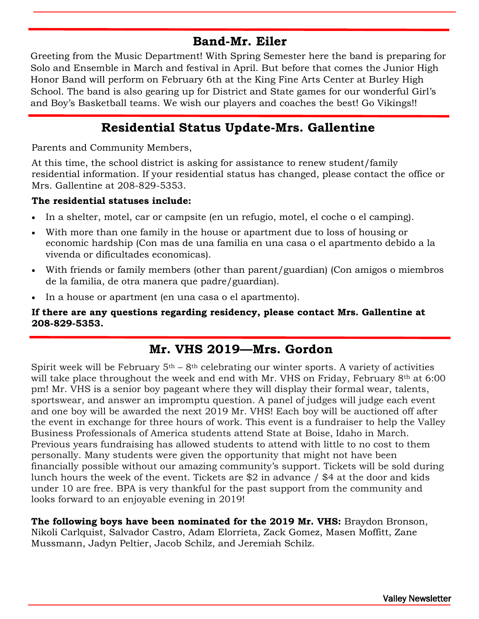## **Band-Mr. Eiler**

Greeting from the Music Department! With Spring Semester here the band is preparing for Solo and Ensemble in March and festival in April. But before that comes the Junior High Honor Band will perform on February 6th at the King Fine Arts Center at Burley High School. The band is also gearing up for District and State games for our wonderful Girl's and Boy's Basketball teams. We wish our players and coaches the best! Go Vikings!!

## **Residential Status Update-Mrs. Gallentine**

Parents and Community Members,

At this time, the school district is asking for assistance to renew student/family residential information. If your residential status has changed, please contact the office or Mrs. Gallentine at 208-829-5353.

#### **The residential statuses include:**

- In a shelter, motel, car or campsite (en un refugio, motel, el coche o el camping).
- With more than one family in the house or apartment due to loss of housing or economic hardship (Con mas de una familia en una casa o el apartmento debido a la vivenda or dificultades economicas).
- With friends or family members (other than parent/guardian) (Con amigos o miembros de la familia, de otra manera que padre/guardian).
- In a house or apartment (en una casa o el apartmento).

#### **If there are any questions regarding residency, please contact Mrs. Gallentine at 208-829-5353.**

## **Mr. VHS 2019—Mrs. Gordon**

Spirit week will be February  $5<sup>th</sup> - 8<sup>th</sup>$  celebrating our winter sports. A variety of activities will take place throughout the week and end with Mr. VHS on Friday, February 8<sup>th</sup> at 6:00 pm! Mr. VHS is a senior boy pageant where they will display their formal wear, talents, sportswear, and answer an impromptu question. A panel of judges will judge each event and one boy will be awarded the next 2019 Mr. VHS! Each boy will be auctioned off after the event in exchange for three hours of work. This event is a fundraiser to help the Valley Business Professionals of America students attend State at Boise, Idaho in March. Previous years fundraising has allowed students to attend with little to no cost to them personally. Many students were given the opportunity that might not have been financially possible without our amazing community's support. Tickets will be sold during lunch hours the week of the event. Tickets are \$2 in advance / \$4 at the door and kids under 10 are free. BPA is very thankful for the past support from the community and looks forward to an enjoyable evening in 2019!

**The following boys have been nominated for the 2019 Mr. VHS:** Braydon Bronson, Nikoli Carlquist, Salvador Castro, Adam Elorrieta, Zack Gomez, Masen Moffitt, Zane Mussmann, Jadyn Peltier, Jacob Schilz, and Jeremiah Schilz.